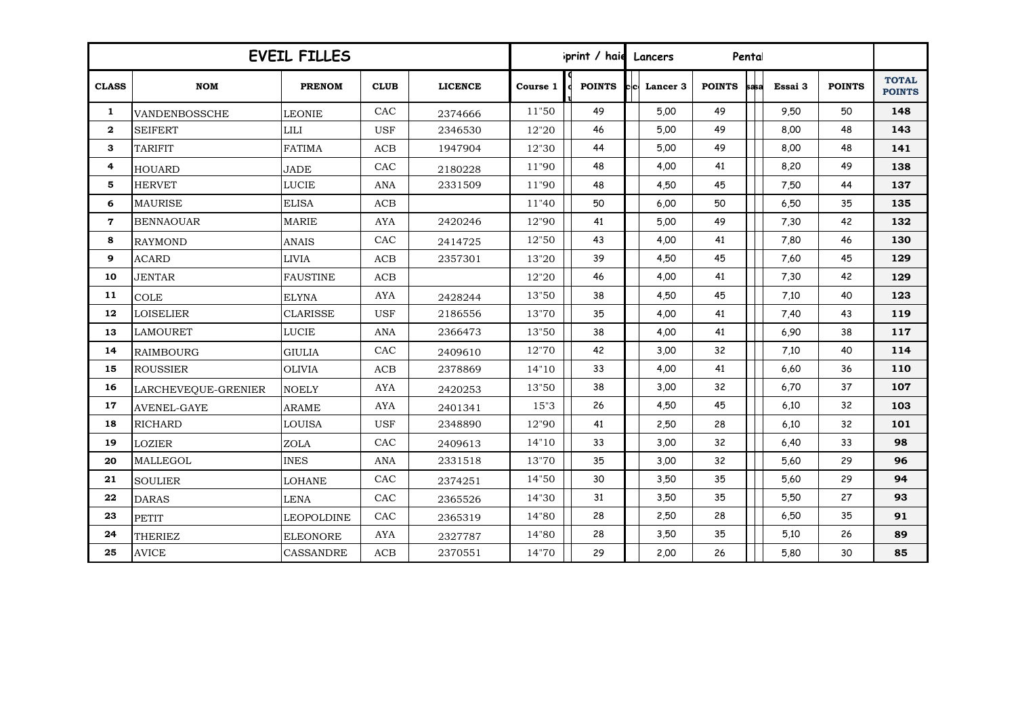| <b>EVEIL FILLES</b> |                     |                   |             |                |          | print / haid  | Lancers |          |               |      |         |               |                               |
|---------------------|---------------------|-------------------|-------------|----------------|----------|---------------|---------|----------|---------------|------|---------|---------------|-------------------------------|
| <b>CLASS</b>        | <b>NOM</b>          | <b>PRENOM</b>     | <b>CLUB</b> | <b>LICENCE</b> | Course 1 | <b>POINTS</b> |         | Lancer 3 | <b>POINTS</b> | sasa | Essai 3 | <b>POINTS</b> | <b>TOTAL</b><br><b>POINTS</b> |
| 1                   | VANDENBOSSCHE       | <b>LEONIE</b>     | CAC         | 2374666        | 11"50    | 49            |         | 5,00     | 49            |      | 9,50    | 50            | 148                           |
| $\mathbf{2}$        | <b>SEIFERT</b>      | <b>LILI</b>       | <b>USF</b>  | 2346530        | 12"20    | 46            |         | 5,00     | 49            |      | 8,00    | 48            | 143                           |
| 3                   | <b>TARIFIT</b>      | <b>FATIMA</b>     | ACB         | 1947904        | 12"30    | 44            |         | 5,00     | 49            |      | 8,00    | 48            | 141                           |
| 4                   | <b>HOUARD</b>       | <b>JADE</b>       | CAC         | 2180228        | 11"90    | 48            |         | 4,00     | 41            |      | 8,20    | 49            | 138                           |
| 5                   | <b>HERVET</b>       | <b>LUCIE</b>      | ANA         | 2331509        | 11"90    | 48            |         | 4,50     | 45            |      | 7,50    | 44            | 137                           |
| 6                   | <b>MAURISE</b>      | <b>ELISA</b>      | ACB         |                | 11"40    | 50            |         | 6,00     | 50            |      | 6,50    | 35            | 135                           |
| $\overline{7}$      | <b>BENNAOUAR</b>    | <b>MARIE</b>      | <b>AYA</b>  | 2420246        | 12"90    | 41            |         | 5,00     | 49            |      | 7,30    | 42            | 132                           |
| 8                   | <b>RAYMOND</b>      | ANAIS             | CAC         | 2414725        | 12"50    | 43            |         | 4,00     | 41            |      | 7,80    | 46            | 130                           |
| 9                   | <b>ACARD</b>        | <b>LIVIA</b>      | ACB         | 2357301        | 13"20    | 39            |         | 4,50     | 45            |      | 7,60    | 45            | 129                           |
| 10                  | <b>JENTAR</b>       | <b>FAUSTINE</b>   | $\rm ACB$   |                | 12"20    | 46            |         | 4,00     | 41            |      | 7,30    | 42            | 129                           |
| 11                  | <b>COLE</b>         | <b>ELYNA</b>      | <b>AYA</b>  | 2428244        | 13"50    | 38            |         | 4,50     | 45            |      | 7,10    | 40            | 123                           |
| 12                  | <b>LOISELIER</b>    | <b>CLARISSE</b>   | <b>USF</b>  | 2186556        | 13"70    | 35            |         | 4,00     | 41            |      | 7,40    | 43            | 119                           |
| 13                  | <b>LAMOURET</b>     | LUCIE             | ANA         | 2366473        | 13"50    | 38            |         | 4,00     | 41            |      | 6,90    | 38            | 117                           |
| 14                  | <b>RAIMBOURG</b>    | <b>GIULIA</b>     | CAC         | 2409610        | 12"70    | 42            |         | 3,00     | 32            |      | 7,10    | 40            | 114                           |
| 15                  | <b>ROUSSIER</b>     | <b>OLIVIA</b>     | $\rm ACB$   | 2378869        | 14"10    | 33            |         | 4,00     | 41            |      | 6,60    | 36            | 110                           |
| 16                  | LARCHEVEQUE-GRENIER | <b>NOELY</b>      | AYA         | 2420253        | 13"50    | 38            |         | 3,00     | 32            |      | 6,70    | 37            | 107                           |
| 17                  | <b>AVENEL-GAYE</b>  | <b>ARAME</b>      | <b>AYA</b>  | 2401341        | 15"3     | 26            |         | 4,50     | 45            |      | 6,10    | 32            | 103                           |
| 18                  | <b>RICHARD</b>      | <b>LOUISA</b>     | <b>USF</b>  | 2348890        | 12"90    | 41            |         | 2,50     | 28            |      | 6.10    | 32            | 101                           |
| 19                  | <b>LOZIER</b>       | <b>ZOLA</b>       | CAC         | 2409613        | 14"10    | 33            |         | 3,00     | 32            |      | 6,40    | 33            | 98                            |
| 20                  | <b>MALLEGOL</b>     | <b>INES</b>       | <b>ANA</b>  | 2331518        | 13"70    | 35            |         | 3,00     | 32            |      | 5,60    | 29            | 96                            |
| 21                  | <b>SOULIER</b>      | <b>LOHANE</b>     | CAC         | 2374251        | 14"50    | 30            |         | 3,50     | 35            |      | 5,60    | 29            | 94                            |
| 22                  | <b>DARAS</b>        | <b>LENA</b>       | CAC         | 2365526        | 14"30    | 31            |         | 3,50     | 35            |      | 5,50    | 27            | 93                            |
| 23                  | <b>PETIT</b>        | <b>LEOPOLDINE</b> | CAC         | 2365319        | 14"80    | 28            |         | 2,50     | 28            |      | 6,50    | 35            | 91                            |
| 24                  | <b>THERIEZ</b>      | <b>ELEONORE</b>   | <b>AYA</b>  | 2327787        | 14"80    | 28            |         | 3,50     | 35            |      | 5.10    | 26            | 89                            |
| 25                  | <b>AVICE</b>        | <b>CASSANDRE</b>  | ACB         | 2370551        | 14"70    | 29            |         | 2,00     | 26            |      | 5,80    | 30            | 85                            |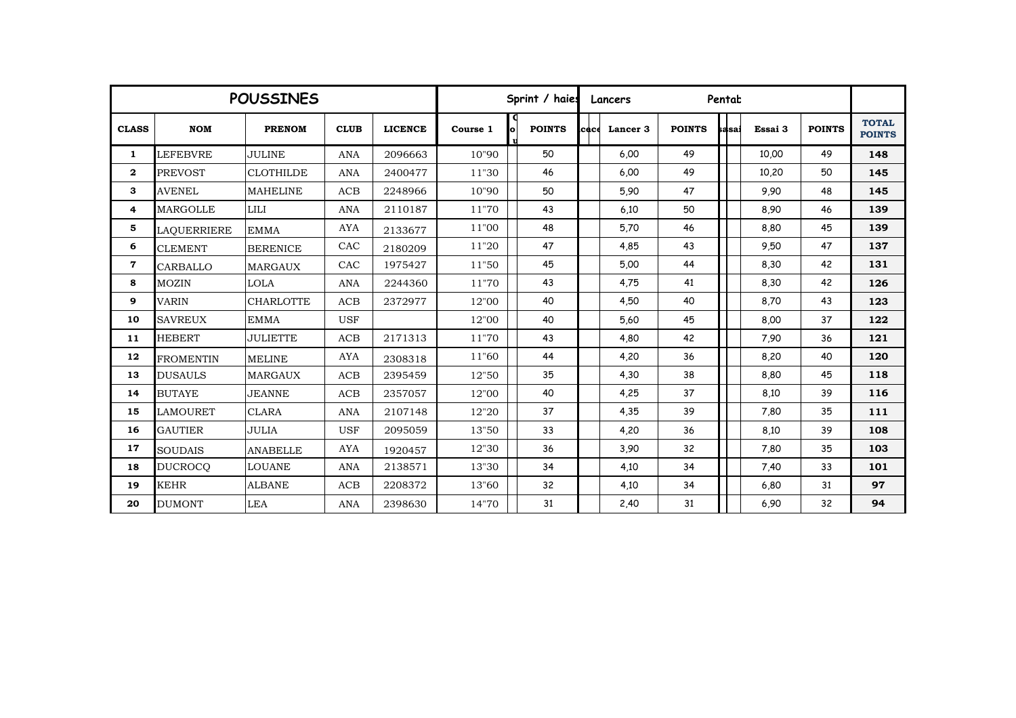|              | <b>POUSSINES</b> | Sprint / haies   |             |                |          | Lancers |               | Pentat |          |               |       |         |               |                               |
|--------------|------------------|------------------|-------------|----------------|----------|---------|---------------|--------|----------|---------------|-------|---------|---------------|-------------------------------|
| <b>CLASS</b> | <b>NOM</b>       | <b>PRENOM</b>    | <b>CLUB</b> | <b>LICENCE</b> | Course 1 |         | <b>POINTS</b> | icace  | Lancer 3 | <b>POINTS</b> | sasai | Essai 3 | <b>POINTS</b> | <b>TOTAL</b><br><b>POINTS</b> |
| $\mathbf{1}$ | <b>LEFEBVRE</b>  | <b>JULINE</b>    | <b>ANA</b>  | 2096663        | 10"90    |         | 50            |        | 6,00     | 49            |       | 10,00   | 49            | 148                           |
| $\mathbf{2}$ | <b>PREVOST</b>   | <b>CLOTHILDE</b> | ANA         | 2400477        | 11"30    |         | 46            |        | 6,00     | 49            |       | 10,20   | 50            | 145                           |
| 3            | <b>AVENEL</b>    | <b>MAHELINE</b>  | ACB         | 2248966        | 10"90    |         | 50            |        | 5,90     | 47            |       | 9.90    | 48            | 145                           |
| 4            | <b>MARGOLLE</b>  | <b>LILI</b>      | <b>ANA</b>  | 2110187        | 11"70    |         | 43            |        | 6.10     | 50            |       | 8,90    | 46            | 139                           |
| 5            | LAOUERRIERE      | <b>EMMA</b>      | <b>AYA</b>  | 2133677        | 11"00    |         | 48            |        | 5,70     | 46            |       | 8,80    | 45            | 139                           |
| 6            | <b>CLEMENT</b>   | <b>BERENICE</b>  | CAC         | 2180209        | 11"20    |         | 47            |        | 4,85     | 43            |       | 9,50    | 47            | 137                           |
| 7            | CARBALLO         | <b>MARGAUX</b>   | CAC         | 1975427        | 11"50    |         | 45            |        | 5,00     | 44            |       | 8,30    | 42            | 131                           |
| 8            | <b>MOZIN</b>     | <b>LOLA</b>      | <b>ANA</b>  | 2244360        | 11"70    |         | 43            |        | 4,75     | 41            |       | 8,30    | 42            | 126                           |
| 9            | <b>VARIN</b>     | <b>CHARLOTTE</b> | ACB         | 2372977        | 12"00    |         | 40            |        | 4,50     | 40            |       | 8,70    | 43            | 123                           |
| 10           | <b>SAVREUX</b>   | <b>EMMA</b>      | <b>USF</b>  |                | 12"00    |         | 40            |        | 5,60     | 45            |       | 8,00    | 37            | 122                           |
| 11           | <b>HEBERT</b>    | <b>JULIETTE</b>  | ACB         | 2171313        | 11"70    |         | 43            |        | 4,80     | 42            |       | 7.90    | 36            | 121                           |
| 12           | <b>FROMENTIN</b> | <b>MELINE</b>    | <b>AYA</b>  | 2308318        | 11"60    |         | 44            |        | 4,20     | 36            |       | 8,20    | 40            | 120                           |
| 13           | <b>DUSAULS</b>   | <b>MARGAUX</b>   | ACB         | 2395459        | 12"50    |         | 35            |        | 4,30     | 38            |       | 8,80    | 45            | 118                           |
| 14           | <b>BUTAYE</b>    | <b>JEANNE</b>    | ACB         | 2357057        | 12"00    |         | 40            |        | 4,25     | 37            |       | 8,10    | 39            | 116                           |
| 15           | <b>LAMOURET</b>  | <b>CLARA</b>     | <b>ANA</b>  | 2107148        | 12"20    |         | 37            |        | 4,35     | 39            |       | 7,80    | 35            | 111                           |
| 16           | <b>GAUTIER</b>   | <b>JULIA</b>     | <b>USF</b>  | 2095059        | 13"50    |         | 33            |        | 4,20     | 36            |       | 8,10    | 39            | 108                           |
| 17           | <b>SOUDAIS</b>   | <b>ANABELLE</b>  | <b>AYA</b>  | 1920457        | 12"30    |         | 36            |        | 3,90     | 32            |       | 7,80    | 35            | 103                           |
| 18           | <b>DUCROCO</b>   | <b>LOUANE</b>    | <b>ANA</b>  | 2138571        | 13"30    |         | 34            |        | 4,10     | 34            |       | 7,40    | 33            | 101                           |
| 19           | <b>KEHR</b>      | <b>ALBANE</b>    | ACB         | 2208372        | 13"60    |         | 32            |        | 4,10     | 34            |       | 6,80    | 31            | 97                            |
| 20           | <b>DUMONT</b>    | <b>LEA</b>       | <b>ANA</b>  | 2398630        | 14"70    |         | 31            |        | 2,40     | 31            |       | 6.90    | 32            | 94                            |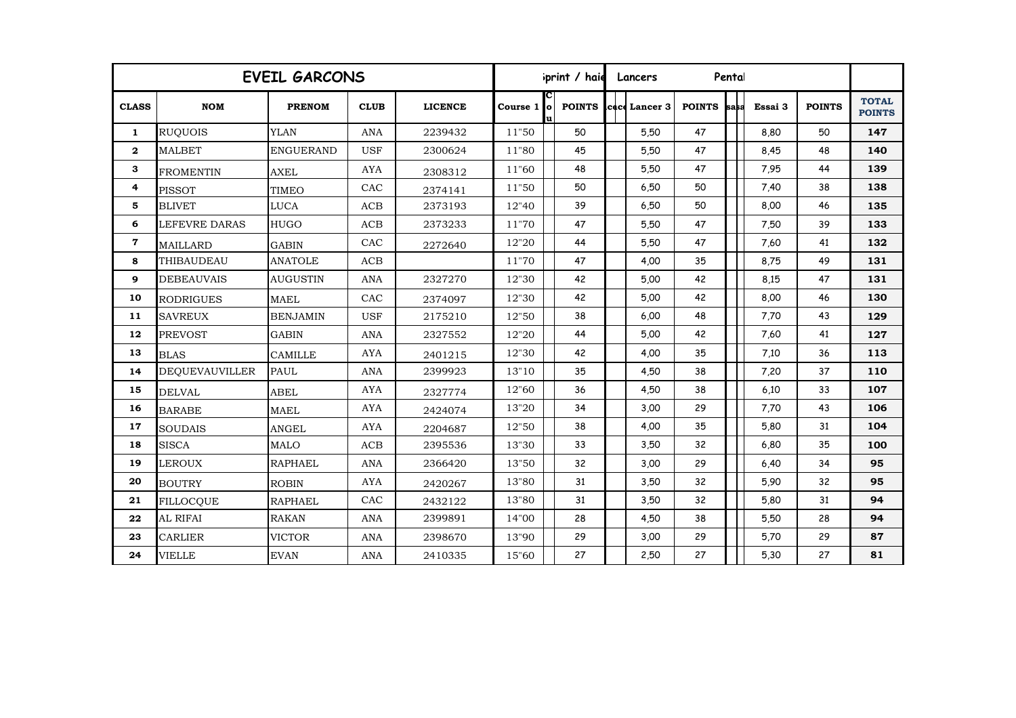| <b>EVEIL GARCONS</b> |                       |                  |             |                |             |  | print / haie<br>Pental<br>Lancers |  |                |               |      |         |               |                               |  |
|----------------------|-----------------------|------------------|-------------|----------------|-------------|--|-----------------------------------|--|----------------|---------------|------|---------|---------------|-------------------------------|--|
| <b>CLASS</b>         | <b>NOM</b>            | <b>PRENOM</b>    | <b>CLUB</b> | <b>LICENCE</b> | Course 1 lo |  | <b>POINTS</b>                     |  | lcace Lancer 3 | <b>POINTS</b> | sasa | Essai 3 | <b>POINTS</b> | <b>TOTAL</b><br><b>POINTS</b> |  |
| $\mathbf{1}$         | <b>RUQUOIS</b>        | <b>YLAN</b>      | <b>ANA</b>  | 2239432        | 11"50       |  | 50                                |  | 5,50           | 47            |      | 8,80    | 50            | 147                           |  |
| $\mathbf{2}$         | <b>MALBET</b>         | <b>ENGUERAND</b> | <b>USF</b>  | 2300624        | 11"80       |  | 45                                |  | 5,50           | 47            |      | 8,45    | 48            | 140                           |  |
| 3                    | <b>FROMENTIN</b>      | <b>AXEL</b>      | <b>AYA</b>  | 2308312        | 11"60       |  | 48                                |  | 5.50           | 47            |      | 7.95    | 44            | 139                           |  |
| 4                    | <b>PISSOT</b>         | <b>TIMEO</b>     | CAC         | 2374141        | 11"50       |  | 50                                |  | 6,50           | 50            |      | 7,40    | 38            | 138                           |  |
| 5                    | <b>BLIVET</b>         | <b>LUCA</b>      | ACB         | 2373193        | 12"40       |  | 39                                |  | 6,50           | 50            |      | 8,00    | 46            | 135                           |  |
| 6                    | LEFEVRE DARAS         | <b>HUGO</b>      | ACB         | 2373233        | 11"70       |  | 47                                |  | 5,50           | 47            |      | 7,50    | 39            | 133                           |  |
| $\mathbf 7$          | <b>MAILLARD</b>       | <b>GABIN</b>     | CAC         | 2272640        | 12"20       |  | 44                                |  | 5,50           | 47            |      | 7,60    | 41            | 132                           |  |
| 8                    | THIBAUDEAU            | <b>ANATOLE</b>   | ACB         |                | 11"70       |  | 47                                |  | 4,00           | 35            |      | 8,75    | 49            | 131                           |  |
| 9                    | <b>DEBEAUVAIS</b>     | <b>AUGUSTIN</b>  | <b>ANA</b>  | 2327270        | 12"30       |  | 42                                |  | 5,00           | 42            |      | 8,15    | 47            | 131                           |  |
| 10                   | <b>RODRIGUES</b>      | <b>MAEL</b>      | CAC         | 2374097        | 12"30       |  | 42                                |  | 5,00           | 42            |      | 8,00    | 46            | 130                           |  |
| 11                   | <b>SAVREUX</b>        | <b>BENJAMIN</b>  | <b>USF</b>  | 2175210        | 12"50       |  | 38                                |  | 6,00           | 48            |      | 7,70    | 43            | 129                           |  |
| 12                   | <b>PREVOST</b>        | <b>GABIN</b>     | <b>ANA</b>  | 2327552        | 12"20       |  | 44                                |  | 5,00           | 42            |      | 7,60    | 41            | 127                           |  |
| 13                   | <b>BLAS</b>           | <b>CAMILLE</b>   | <b>AYA</b>  | 2401215        | 12"30       |  | 42                                |  | 4,00           | 35            |      | 7,10    | 36            | 113                           |  |
| 14                   | <b>DEQUEVAUVILLER</b> | <b>PAUL</b>      | <b>ANA</b>  | 2399923        | 13"10       |  | 35                                |  | 4,50           | 38            |      | 7,20    | 37            | 110                           |  |
| 15                   | <b>DELVAL</b>         | <b>ABEL</b>      | <b>AYA</b>  | 2327774        | 12"60       |  | 36                                |  | 4,50           | 38            |      | 6.10    | 33            | 107                           |  |
| 16                   | <b>BARABE</b>         | <b>MAEL</b>      | <b>AYA</b>  | 2424074        | 13"20       |  | 34                                |  | 3,00           | 29            |      | 7,70    | 43            | 106                           |  |
| 17                   | <b>SOUDAIS</b>        | <b>ANGEL</b>     | <b>AYA</b>  | 2204687        | 12"50       |  | 38                                |  | 4,00           | 35            |      | 5,80    | 31            | 104                           |  |
| 18                   | <b>SISCA</b>          | <b>MALO</b>      | ACB         | 2395536        | 13"30       |  | 33                                |  | 3,50           | 32            |      | 6,80    | 35            | 100                           |  |
| 19                   | <b>LEROUX</b>         | <b>RAPHAEL</b>   | <b>ANA</b>  | 2366420        | 13"50       |  | 32                                |  | 3,00           | 29            |      | 6,40    | 34            | 95                            |  |
| 20                   | <b>BOUTRY</b>         | <b>ROBIN</b>     | <b>AYA</b>  | 2420267        | 13"80       |  | 31                                |  | 3,50           | 32            |      | 5,90    | 32            | 95                            |  |
| 21                   | <b>FILLOCOUE</b>      | <b>RAPHAEL</b>   | CAC         | 2432122        | 13"80       |  | 31                                |  | 3,50           | 32            |      | 5,80    | 31            | 94                            |  |
| 22                   | AL RIFAI              | <b>RAKAN</b>     | ANA         | 2399891        | 14"00       |  | 28                                |  | 4,50           | 38            |      | 5,50    | 28            | 94                            |  |
| 23                   | <b>CARLIER</b>        | <b>VICTOR</b>    | <b>ANA</b>  | 2398670        | 13"90       |  | 29                                |  | 3,00           | 29            |      | 5,70    | 29            | 87                            |  |
| 24                   | <b>VIELLE</b>         | <b>EVAN</b>      | <b>ANA</b>  | 2410335        | 15"60       |  | 27                                |  | 2,50           | 27            |      | 5,30    | 27            | 81                            |  |